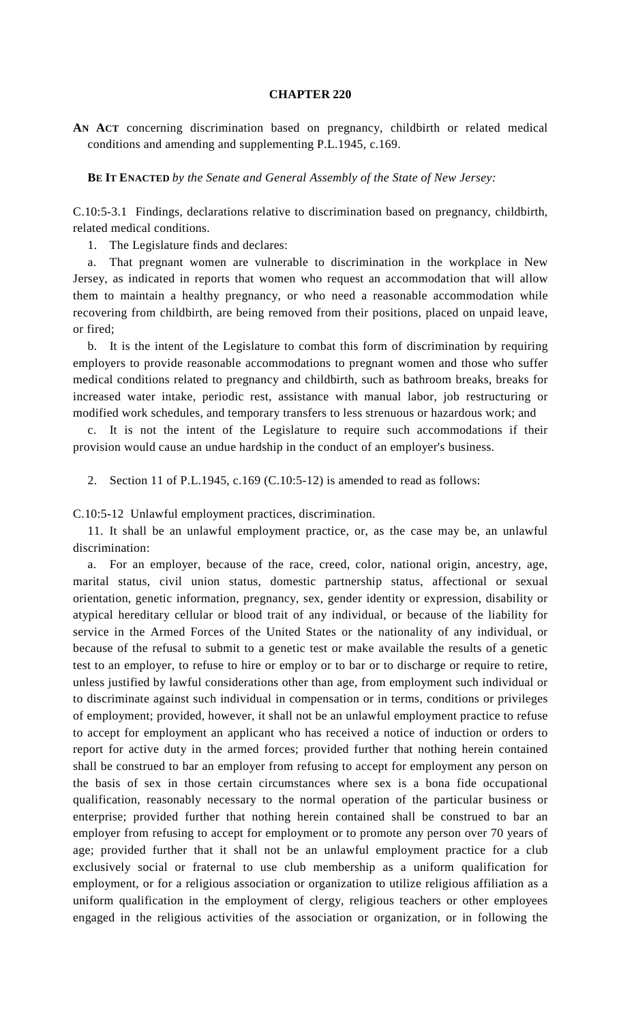## **CHAPTER 220**

**AN ACT** concerning discrimination based on pregnancy, childbirth or related medical conditions and amending and supplementing P.L.1945, c.169.

**BE IT ENACTED** *by the Senate and General Assembly of the State of New Jersey:*

C.10:5-3.1 Findings, declarations relative to discrimination based on pregnancy, childbirth, related medical conditions.

1. The Legislature finds and declares:

 a. That pregnant women are vulnerable to discrimination in the workplace in New Jersey, as indicated in reports that women who request an accommodation that will allow them to maintain a healthy pregnancy, or who need a reasonable accommodation while recovering from childbirth, are being removed from their positions, placed on unpaid leave, or fired;

 b. It is the intent of the Legislature to combat this form of discrimination by requiring employers to provide reasonable accommodations to pregnant women and those who suffer medical conditions related to pregnancy and childbirth, such as bathroom breaks, breaks for increased water intake, periodic rest, assistance with manual labor, job restructuring or modified work schedules, and temporary transfers to less strenuous or hazardous work; and

It is not the intent of the Legislature to require such accommodations if their provision would cause an undue hardship in the conduct of an employer's business.

2. Section 11 of P.L.1945, c.169 (C.10:5-12) is amended to read as follows:

C.10:5-12 Unlawful employment practices, discrimination.

 11. It shall be an unlawful employment practice, or, as the case may be, an unlawful discrimination:

 a. For an employer, because of the race, creed, color, national origin, ancestry, age, marital status, civil union status, domestic partnership status, affectional or sexual orientation, genetic information, pregnancy, sex, gender identity or expression, disability or atypical hereditary cellular or blood trait of any individual, or because of the liability for service in the Armed Forces of the United States or the nationality of any individual, or because of the refusal to submit to a genetic test or make available the results of a genetic test to an employer, to refuse to hire or employ or to bar or to discharge or require to retire, unless justified by lawful considerations other than age, from employment such individual or to discriminate against such individual in compensation or in terms, conditions or privileges of employment; provided, however, it shall not be an unlawful employment practice to refuse to accept for employment an applicant who has received a notice of induction or orders to report for active duty in the armed forces; provided further that nothing herein contained shall be construed to bar an employer from refusing to accept for employment any person on the basis of sex in those certain circumstances where sex is a bona fide occupational qualification, reasonably necessary to the normal operation of the particular business or enterprise; provided further that nothing herein contained shall be construed to bar an employer from refusing to accept for employment or to promote any person over 70 years of age; provided further that it shall not be an unlawful employment practice for a club exclusively social or fraternal to use club membership as a uniform qualification for employment, or for a religious association or organization to utilize religious affiliation as a uniform qualification in the employment of clergy, religious teachers or other employees engaged in the religious activities of the association or organization, or in following the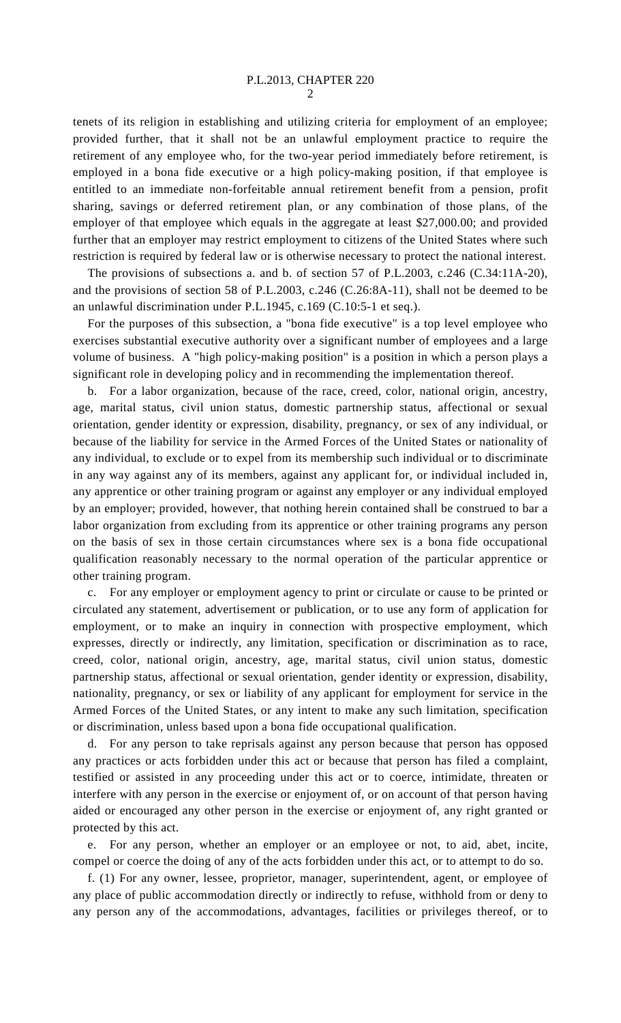2

tenets of its religion in establishing and utilizing criteria for employment of an employee; provided further, that it shall not be an unlawful employment practice to require the retirement of any employee who, for the two-year period immediately before retirement, is employed in a bona fide executive or a high policy-making position, if that employee is entitled to an immediate non-forfeitable annual retirement benefit from a pension, profit sharing, savings or deferred retirement plan, or any combination of those plans, of the employer of that employee which equals in the aggregate at least \$27,000.00; and provided further that an employer may restrict employment to citizens of the United States where such restriction is required by federal law or is otherwise necessary to protect the national interest.

 The provisions of subsections a. and b. of section 57 of P.L.2003, c.246 (C.34:11A-20), and the provisions of section 58 of P.L.2003, c.246 (C.26:8A-11), shall not be deemed to be an unlawful discrimination under P.L.1945, c.169 (C.10:5-1 et seq.).

 For the purposes of this subsection, a "bona fide executive" is a top level employee who exercises substantial executive authority over a significant number of employees and a large volume of business. A "high policy-making position" is a position in which a person plays a significant role in developing policy and in recommending the implementation thereof.

 b. For a labor organization, because of the race, creed, color, national origin, ancestry, age, marital status, civil union status, domestic partnership status, affectional or sexual orientation, gender identity or expression, disability, pregnancy, or sex of any individual, or because of the liability for service in the Armed Forces of the United States or nationality of any individual, to exclude or to expel from its membership such individual or to discriminate in any way against any of its members, against any applicant for, or individual included in, any apprentice or other training program or against any employer or any individual employed by an employer; provided, however, that nothing herein contained shall be construed to bar a labor organization from excluding from its apprentice or other training programs any person on the basis of sex in those certain circumstances where sex is a bona fide occupational qualification reasonably necessary to the normal operation of the particular apprentice or other training program.

 c. For any employer or employment agency to print or circulate or cause to be printed or circulated any statement, advertisement or publication, or to use any form of application for employment, or to make an inquiry in connection with prospective employment, which expresses, directly or indirectly, any limitation, specification or discrimination as to race, creed, color, national origin, ancestry, age, marital status, civil union status, domestic partnership status, affectional or sexual orientation, gender identity or expression, disability, nationality, pregnancy, or sex or liability of any applicant for employment for service in the Armed Forces of the United States, or any intent to make any such limitation, specification or discrimination, unless based upon a bona fide occupational qualification.

 d. For any person to take reprisals against any person because that person has opposed any practices or acts forbidden under this act or because that person has filed a complaint, testified or assisted in any proceeding under this act or to coerce, intimidate, threaten or interfere with any person in the exercise or enjoyment of, or on account of that person having aided or encouraged any other person in the exercise or enjoyment of, any right granted or protected by this act.

 e. For any person, whether an employer or an employee or not, to aid, abet, incite, compel or coerce the doing of any of the acts forbidden under this act, or to attempt to do so.

 f. (1) For any owner, lessee, proprietor, manager, superintendent, agent, or employee of any place of public accommodation directly or indirectly to refuse, withhold from or deny to any person any of the accommodations, advantages, facilities or privileges thereof, or to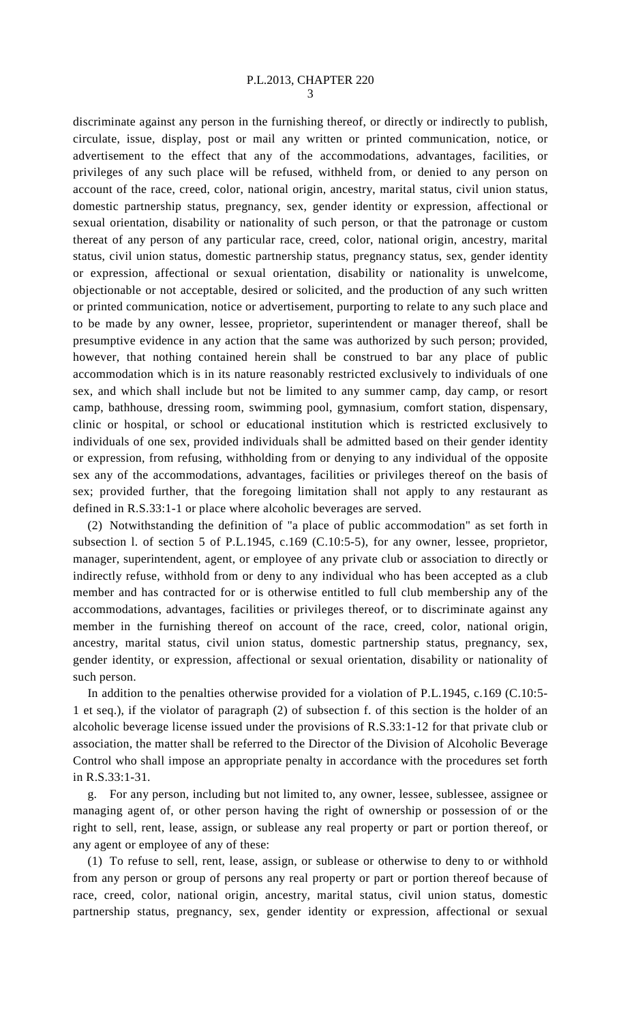3

discriminate against any person in the furnishing thereof, or directly or indirectly to publish, circulate, issue, display, post or mail any written or printed communication, notice, or advertisement to the effect that any of the accommodations, advantages, facilities, or privileges of any such place will be refused, withheld from, or denied to any person on account of the race, creed, color, national origin, ancestry, marital status, civil union status, domestic partnership status, pregnancy, sex, gender identity or expression, affectional or sexual orientation, disability or nationality of such person, or that the patronage or custom thereat of any person of any particular race, creed, color, national origin, ancestry, marital status, civil union status, domestic partnership status, pregnancy status, sex, gender identity or expression, affectional or sexual orientation, disability or nationality is unwelcome, objectionable or not acceptable, desired or solicited, and the production of any such written or printed communication, notice or advertisement, purporting to relate to any such place and to be made by any owner, lessee, proprietor, superintendent or manager thereof, shall be presumptive evidence in any action that the same was authorized by such person; provided, however, that nothing contained herein shall be construed to bar any place of public accommodation which is in its nature reasonably restricted exclusively to individuals of one sex, and which shall include but not be limited to any summer camp, day camp, or resort camp, bathhouse, dressing room, swimming pool, gymnasium, comfort station, dispensary, clinic or hospital, or school or educational institution which is restricted exclusively to individuals of one sex, provided individuals shall be admitted based on their gender identity or expression, from refusing, withholding from or denying to any individual of the opposite sex any of the accommodations, advantages, facilities or privileges thereof on the basis of sex; provided further, that the foregoing limitation shall not apply to any restaurant as defined in R.S.33:1-1 or place where alcoholic beverages are served.

 (2) Notwithstanding the definition of "a place of public accommodation" as set forth in subsection l. of section 5 of P.L.1945, c.169 (C.10:5-5), for any owner, lessee, proprietor, manager, superintendent, agent, or employee of any private club or association to directly or indirectly refuse, withhold from or deny to any individual who has been accepted as a club member and has contracted for or is otherwise entitled to full club membership any of the accommodations, advantages, facilities or privileges thereof, or to discriminate against any member in the furnishing thereof on account of the race, creed, color, national origin, ancestry, marital status, civil union status, domestic partnership status, pregnancy, sex, gender identity, or expression, affectional or sexual orientation, disability or nationality of such person.

 In addition to the penalties otherwise provided for a violation of P.L.1945, c.169 (C.10:5- 1 et seq.), if the violator of paragraph (2) of subsection f. of this section is the holder of an alcoholic beverage license issued under the provisions of R.S.33:1-12 for that private club or association, the matter shall be referred to the Director of the Division of Alcoholic Beverage Control who shall impose an appropriate penalty in accordance with the procedures set forth in R.S.33:1-31.

 g. For any person, including but not limited to, any owner, lessee, sublessee, assignee or managing agent of, or other person having the right of ownership or possession of or the right to sell, rent, lease, assign, or sublease any real property or part or portion thereof, or any agent or employee of any of these:

 (1) To refuse to sell, rent, lease, assign, or sublease or otherwise to deny to or withhold from any person or group of persons any real property or part or portion thereof because of race, creed, color, national origin, ancestry, marital status, civil union status, domestic partnership status, pregnancy, sex, gender identity or expression, affectional or sexual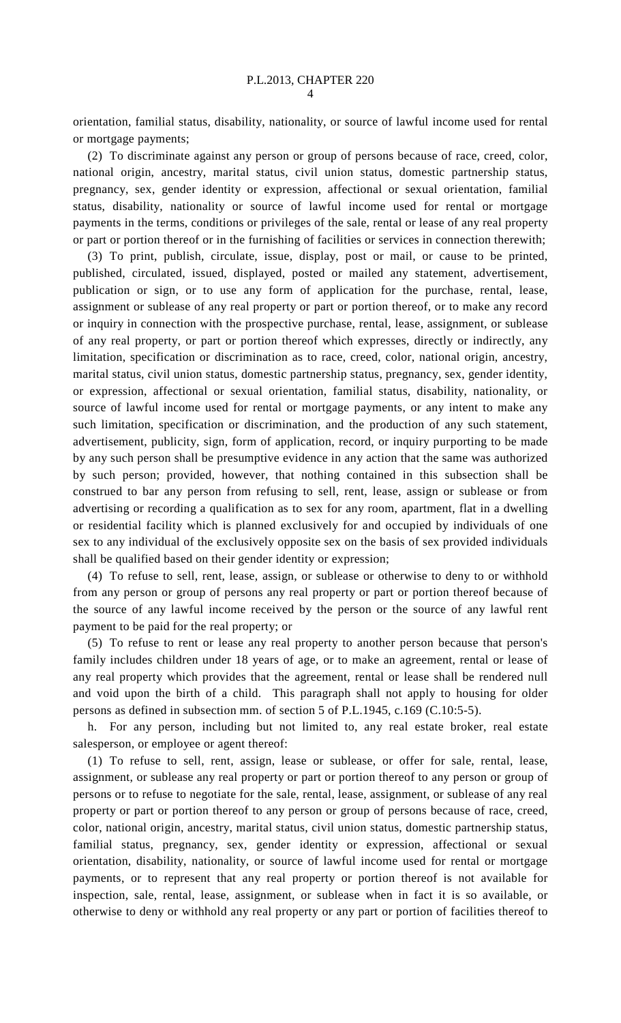orientation, familial status, disability, nationality, or source of lawful income used for rental or mortgage payments;

 (2) To discriminate against any person or group of persons because of race, creed, color, national origin, ancestry, marital status, civil union status, domestic partnership status, pregnancy, sex, gender identity or expression, affectional or sexual orientation, familial status, disability, nationality or source of lawful income used for rental or mortgage payments in the terms, conditions or privileges of the sale, rental or lease of any real property or part or portion thereof or in the furnishing of facilities or services in connection therewith;

 (3) To print, publish, circulate, issue, display, post or mail, or cause to be printed, published, circulated, issued, displayed, posted or mailed any statement, advertisement, publication or sign, or to use any form of application for the purchase, rental, lease, assignment or sublease of any real property or part or portion thereof, or to make any record or inquiry in connection with the prospective purchase, rental, lease, assignment, or sublease of any real property, or part or portion thereof which expresses, directly or indirectly, any limitation, specification or discrimination as to race, creed, color, national origin, ancestry, marital status, civil union status, domestic partnership status, pregnancy, sex, gender identity, or expression, affectional or sexual orientation, familial status, disability, nationality, or source of lawful income used for rental or mortgage payments, or any intent to make any such limitation, specification or discrimination, and the production of any such statement, advertisement, publicity, sign, form of application, record, or inquiry purporting to be made by any such person shall be presumptive evidence in any action that the same was authorized by such person; provided, however, that nothing contained in this subsection shall be construed to bar any person from refusing to sell, rent, lease, assign or sublease or from advertising or recording a qualification as to sex for any room, apartment, flat in a dwelling or residential facility which is planned exclusively for and occupied by individuals of one sex to any individual of the exclusively opposite sex on the basis of sex provided individuals shall be qualified based on their gender identity or expression;

 (4) To refuse to sell, rent, lease, assign, or sublease or otherwise to deny to or withhold from any person or group of persons any real property or part or portion thereof because of the source of any lawful income received by the person or the source of any lawful rent payment to be paid for the real property; or

 (5) To refuse to rent or lease any real property to another person because that person's family includes children under 18 years of age, or to make an agreement, rental or lease of any real property which provides that the agreement, rental or lease shall be rendered null and void upon the birth of a child. This paragraph shall not apply to housing for older persons as defined in subsection mm. of section 5 of P.L.1945, c.169 (C.10:5-5).

 h. For any person, including but not limited to, any real estate broker, real estate salesperson, or employee or agent thereof:

 (1) To refuse to sell, rent, assign, lease or sublease, or offer for sale, rental, lease, assignment, or sublease any real property or part or portion thereof to any person or group of persons or to refuse to negotiate for the sale, rental, lease, assignment, or sublease of any real property or part or portion thereof to any person or group of persons because of race, creed, color, national origin, ancestry, marital status, civil union status, domestic partnership status, familial status, pregnancy, sex, gender identity or expression, affectional or sexual orientation, disability, nationality, or source of lawful income used for rental or mortgage payments, or to represent that any real property or portion thereof is not available for inspection, sale, rental, lease, assignment, or sublease when in fact it is so available, or otherwise to deny or withhold any real property or any part or portion of facilities thereof to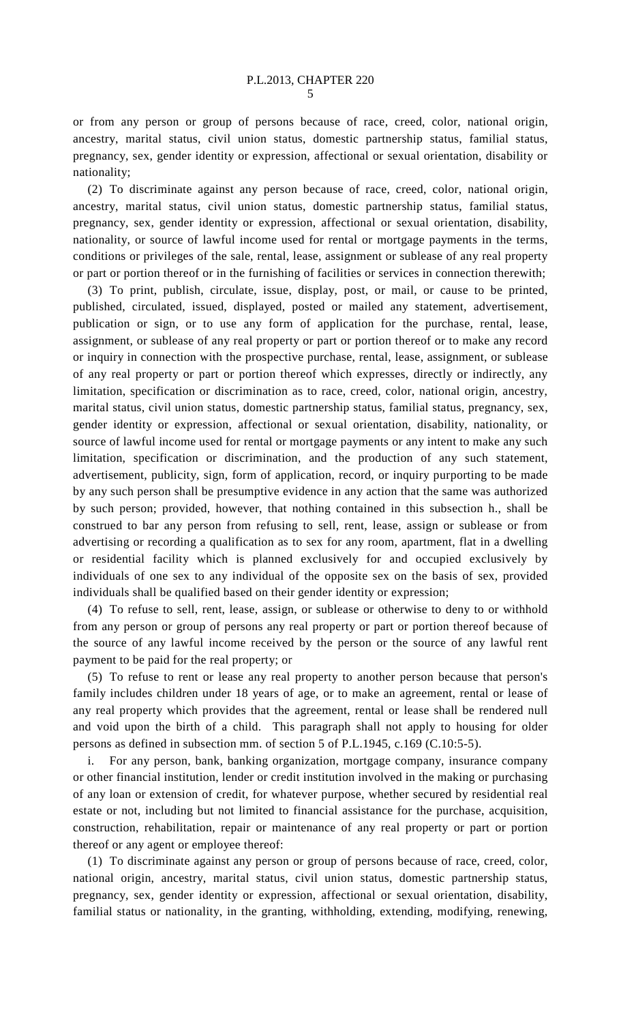or from any person or group of persons because of race, creed, color, national origin, ancestry, marital status, civil union status, domestic partnership status, familial status, pregnancy, sex, gender identity or expression, affectional or sexual orientation, disability or nationality;

 (2) To discriminate against any person because of race, creed, color, national origin, ancestry, marital status, civil union status, domestic partnership status, familial status, pregnancy, sex, gender identity or expression, affectional or sexual orientation, disability, nationality, or source of lawful income used for rental or mortgage payments in the terms, conditions or privileges of the sale, rental, lease, assignment or sublease of any real property or part or portion thereof or in the furnishing of facilities or services in connection therewith;

 (3) To print, publish, circulate, issue, display, post, or mail, or cause to be printed, published, circulated, issued, displayed, posted or mailed any statement, advertisement, publication or sign, or to use any form of application for the purchase, rental, lease, assignment, or sublease of any real property or part or portion thereof or to make any record or inquiry in connection with the prospective purchase, rental, lease, assignment, or sublease of any real property or part or portion thereof which expresses, directly or indirectly, any limitation, specification or discrimination as to race, creed, color, national origin, ancestry, marital status, civil union status, domestic partnership status, familial status, pregnancy, sex, gender identity or expression, affectional or sexual orientation, disability, nationality, or source of lawful income used for rental or mortgage payments or any intent to make any such limitation, specification or discrimination, and the production of any such statement, advertisement, publicity, sign, form of application, record, or inquiry purporting to be made by any such person shall be presumptive evidence in any action that the same was authorized by such person; provided, however, that nothing contained in this subsection h., shall be construed to bar any person from refusing to sell, rent, lease, assign or sublease or from advertising or recording a qualification as to sex for any room, apartment, flat in a dwelling or residential facility which is planned exclusively for and occupied exclusively by individuals of one sex to any individual of the opposite sex on the basis of sex, provided individuals shall be qualified based on their gender identity or expression;

 (4) To refuse to sell, rent, lease, assign, or sublease or otherwise to deny to or withhold from any person or group of persons any real property or part or portion thereof because of the source of any lawful income received by the person or the source of any lawful rent payment to be paid for the real property; or

 (5) To refuse to rent or lease any real property to another person because that person's family includes children under 18 years of age, or to make an agreement, rental or lease of any real property which provides that the agreement, rental or lease shall be rendered null and void upon the birth of a child. This paragraph shall not apply to housing for older persons as defined in subsection mm. of section 5 of P.L.1945, c.169 (C.10:5-5).

 i. For any person, bank, banking organization, mortgage company, insurance company or other financial institution, lender or credit institution involved in the making or purchasing of any loan or extension of credit, for whatever purpose, whether secured by residential real estate or not, including but not limited to financial assistance for the purchase, acquisition, construction, rehabilitation, repair or maintenance of any real property or part or portion thereof or any agent or employee thereof:

 (1) To discriminate against any person or group of persons because of race, creed, color, national origin, ancestry, marital status, civil union status, domestic partnership status, pregnancy, sex, gender identity or expression, affectional or sexual orientation, disability, familial status or nationality, in the granting, withholding, extending, modifying, renewing,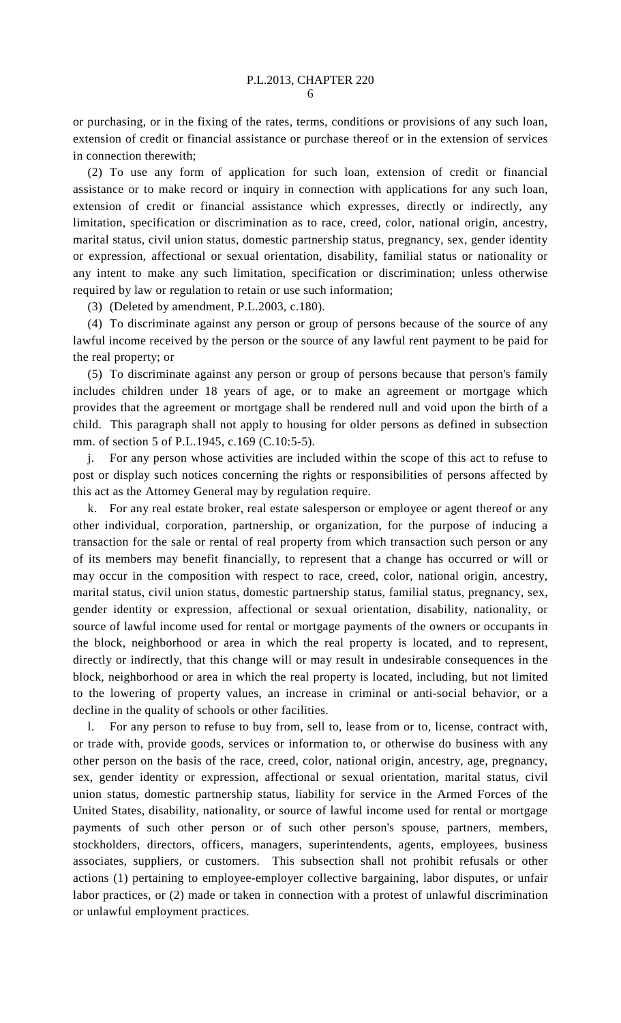or purchasing, or in the fixing of the rates, terms, conditions or provisions of any such loan, extension of credit or financial assistance or purchase thereof or in the extension of services in connection therewith;

 (2) To use any form of application for such loan, extension of credit or financial assistance or to make record or inquiry in connection with applications for any such loan, extension of credit or financial assistance which expresses, directly or indirectly, any limitation, specification or discrimination as to race, creed, color, national origin, ancestry, marital status, civil union status, domestic partnership status, pregnancy, sex, gender identity or expression, affectional or sexual orientation, disability, familial status or nationality or any intent to make any such limitation, specification or discrimination; unless otherwise required by law or regulation to retain or use such information;

(3) (Deleted by amendment, P.L.2003, c.180).

 (4) To discriminate against any person or group of persons because of the source of any lawful income received by the person or the source of any lawful rent payment to be paid for the real property; or

 (5) To discriminate against any person or group of persons because that person's family includes children under 18 years of age, or to make an agreement or mortgage which provides that the agreement or mortgage shall be rendered null and void upon the birth of a child. This paragraph shall not apply to housing for older persons as defined in subsection mm. of section 5 of P.L.1945, c.169 (C.10:5-5).

 j. For any person whose activities are included within the scope of this act to refuse to post or display such notices concerning the rights or responsibilities of persons affected by this act as the Attorney General may by regulation require.

 k. For any real estate broker, real estate salesperson or employee or agent thereof or any other individual, corporation, partnership, or organization, for the purpose of inducing a transaction for the sale or rental of real property from which transaction such person or any of its members may benefit financially, to represent that a change has occurred or will or may occur in the composition with respect to race, creed, color, national origin, ancestry, marital status, civil union status, domestic partnership status, familial status, pregnancy, sex, gender identity or expression, affectional or sexual orientation, disability, nationality, or source of lawful income used for rental or mortgage payments of the owners or occupants in the block, neighborhood or area in which the real property is located, and to represent, directly or indirectly, that this change will or may result in undesirable consequences in the block, neighborhood or area in which the real property is located, including, but not limited to the lowering of property values, an increase in criminal or anti-social behavior, or a decline in the quality of schools or other facilities.

 l. For any person to refuse to buy from, sell to, lease from or to, license, contract with, or trade with, provide goods, services or information to, or otherwise do business with any other person on the basis of the race, creed, color, national origin, ancestry, age, pregnancy, sex, gender identity or expression, affectional or sexual orientation, marital status, civil union status, domestic partnership status, liability for service in the Armed Forces of the United States, disability, nationality, or source of lawful income used for rental or mortgage payments of such other person or of such other person's spouse, partners, members, stockholders, directors, officers, managers, superintendents, agents, employees, business associates, suppliers, or customers. This subsection shall not prohibit refusals or other actions (1) pertaining to employee-employer collective bargaining, labor disputes, or unfair labor practices, or (2) made or taken in connection with a protest of unlawful discrimination or unlawful employment practices.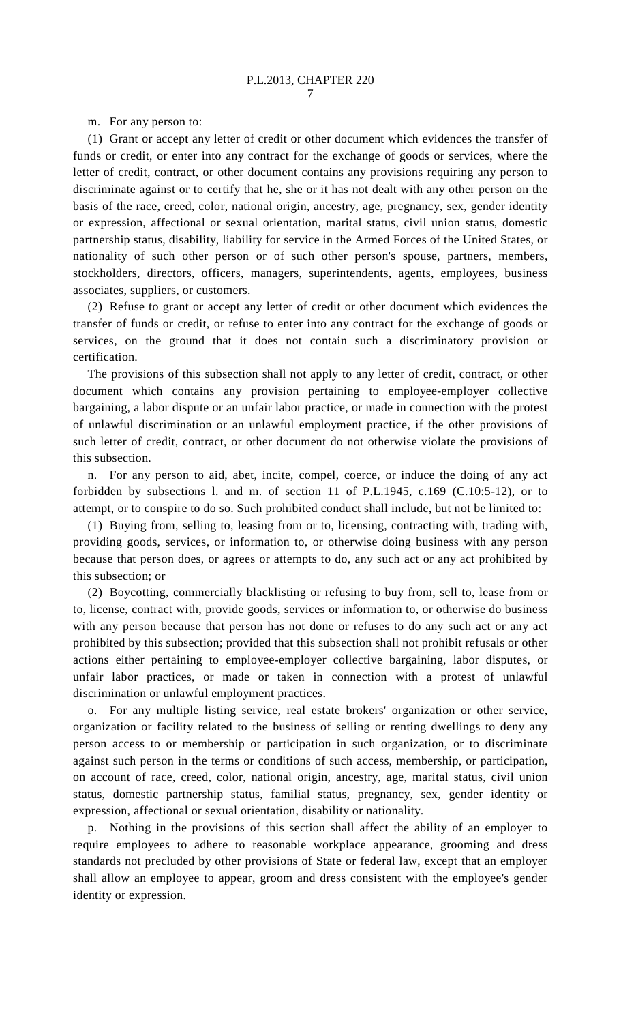m. For any person to:

 (1) Grant or accept any letter of credit or other document which evidences the transfer of funds or credit, or enter into any contract for the exchange of goods or services, where the letter of credit, contract, or other document contains any provisions requiring any person to discriminate against or to certify that he, she or it has not dealt with any other person on the basis of the race, creed, color, national origin, ancestry, age, pregnancy, sex, gender identity or expression, affectional or sexual orientation, marital status, civil union status, domestic partnership status, disability, liability for service in the Armed Forces of the United States, or nationality of such other person or of such other person's spouse, partners, members, stockholders, directors, officers, managers, superintendents, agents, employees, business associates, suppliers, or customers.

 (2) Refuse to grant or accept any letter of credit or other document which evidences the transfer of funds or credit, or refuse to enter into any contract for the exchange of goods or services, on the ground that it does not contain such a discriminatory provision or certification.

 The provisions of this subsection shall not apply to any letter of credit, contract, or other document which contains any provision pertaining to employee-employer collective bargaining, a labor dispute or an unfair labor practice, or made in connection with the protest of unlawful discrimination or an unlawful employment practice, if the other provisions of such letter of credit, contract, or other document do not otherwise violate the provisions of this subsection.

 n. For any person to aid, abet, incite, compel, coerce, or induce the doing of any act forbidden by subsections l. and m. of section 11 of P.L.1945, c.169 (C.10:5-12), or to attempt, or to conspire to do so. Such prohibited conduct shall include, but not be limited to:

 (1) Buying from, selling to, leasing from or to, licensing, contracting with, trading with, providing goods, services, or information to, or otherwise doing business with any person because that person does, or agrees or attempts to do, any such act or any act prohibited by this subsection; or

 (2) Boycotting, commercially blacklisting or refusing to buy from, sell to, lease from or to, license, contract with, provide goods, services or information to, or otherwise do business with any person because that person has not done or refuses to do any such act or any act prohibited by this subsection; provided that this subsection shall not prohibit refusals or other actions either pertaining to employee-employer collective bargaining, labor disputes, or unfair labor practices, or made or taken in connection with a protest of unlawful discrimination or unlawful employment practices.

 o. For any multiple listing service, real estate brokers' organization or other service, organization or facility related to the business of selling or renting dwellings to deny any person access to or membership or participation in such organization, or to discriminate against such person in the terms or conditions of such access, membership, or participation, on account of race, creed, color, national origin, ancestry, age, marital status, civil union status, domestic partnership status, familial status, pregnancy, sex, gender identity or expression, affectional or sexual orientation, disability or nationality.

 p. Nothing in the provisions of this section shall affect the ability of an employer to require employees to adhere to reasonable workplace appearance, grooming and dress standards not precluded by other provisions of State or federal law, except that an employer shall allow an employee to appear, groom and dress consistent with the employee's gender identity or expression.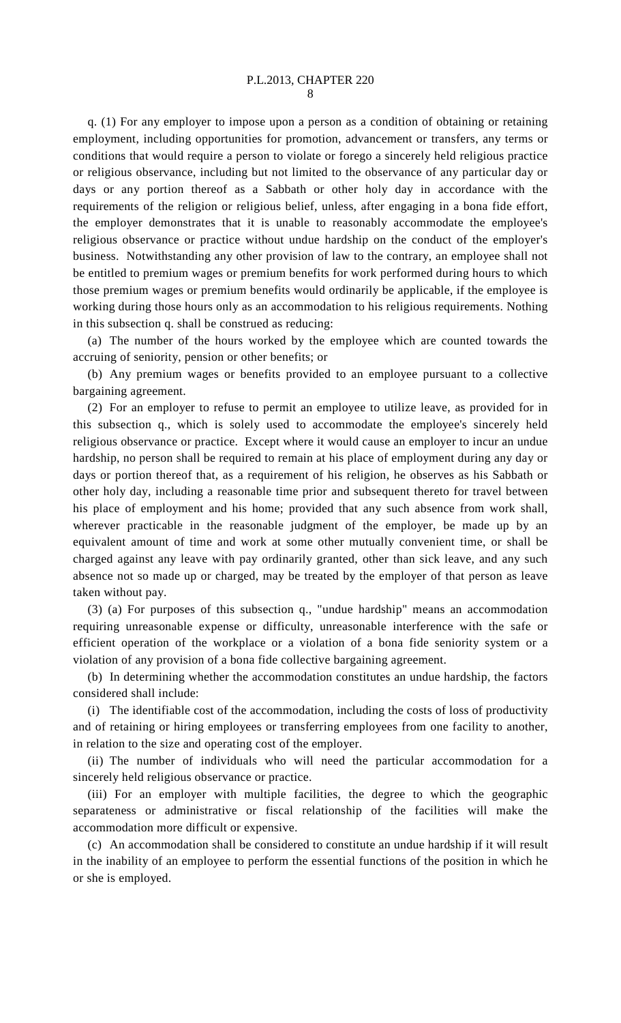q. (1) For any employer to impose upon a person as a condition of obtaining or retaining employment, including opportunities for promotion, advancement or transfers, any terms or conditions that would require a person to violate or forego a sincerely held religious practice or religious observance, including but not limited to the observance of any particular day or days or any portion thereof as a Sabbath or other holy day in accordance with the requirements of the religion or religious belief, unless, after engaging in a bona fide effort, the employer demonstrates that it is unable to reasonably accommodate the employee's religious observance or practice without undue hardship on the conduct of the employer's business. Notwithstanding any other provision of law to the contrary, an employee shall not be entitled to premium wages or premium benefits for work performed during hours to which those premium wages or premium benefits would ordinarily be applicable, if the employee is working during those hours only as an accommodation to his religious requirements. Nothing in this subsection q. shall be construed as reducing:

 (a) The number of the hours worked by the employee which are counted towards the accruing of seniority, pension or other benefits; or

 (b) Any premium wages or benefits provided to an employee pursuant to a collective bargaining agreement.

 (2) For an employer to refuse to permit an employee to utilize leave, as provided for in this subsection q., which is solely used to accommodate the employee's sincerely held religious observance or practice. Except where it would cause an employer to incur an undue hardship, no person shall be required to remain at his place of employment during any day or days or portion thereof that, as a requirement of his religion, he observes as his Sabbath or other holy day, including a reasonable time prior and subsequent thereto for travel between his place of employment and his home; provided that any such absence from work shall, wherever practicable in the reasonable judgment of the employer, be made up by an equivalent amount of time and work at some other mutually convenient time, or shall be charged against any leave with pay ordinarily granted, other than sick leave, and any such absence not so made up or charged, may be treated by the employer of that person as leave taken without pay.

 (3) (a) For purposes of this subsection q., "undue hardship" means an accommodation requiring unreasonable expense or difficulty, unreasonable interference with the safe or efficient operation of the workplace or a violation of a bona fide seniority system or a violation of any provision of a bona fide collective bargaining agreement.

 (b) In determining whether the accommodation constitutes an undue hardship, the factors considered shall include:

 (i) The identifiable cost of the accommodation, including the costs of loss of productivity and of retaining or hiring employees or transferring employees from one facility to another, in relation to the size and operating cost of the employer.

 (ii) The number of individuals who will need the particular accommodation for a sincerely held religious observance or practice.

 (iii) For an employer with multiple facilities, the degree to which the geographic separateness or administrative or fiscal relationship of the facilities will make the accommodation more difficult or expensive.

 (c) An accommodation shall be considered to constitute an undue hardship if it will result in the inability of an employee to perform the essential functions of the position in which he or she is employed.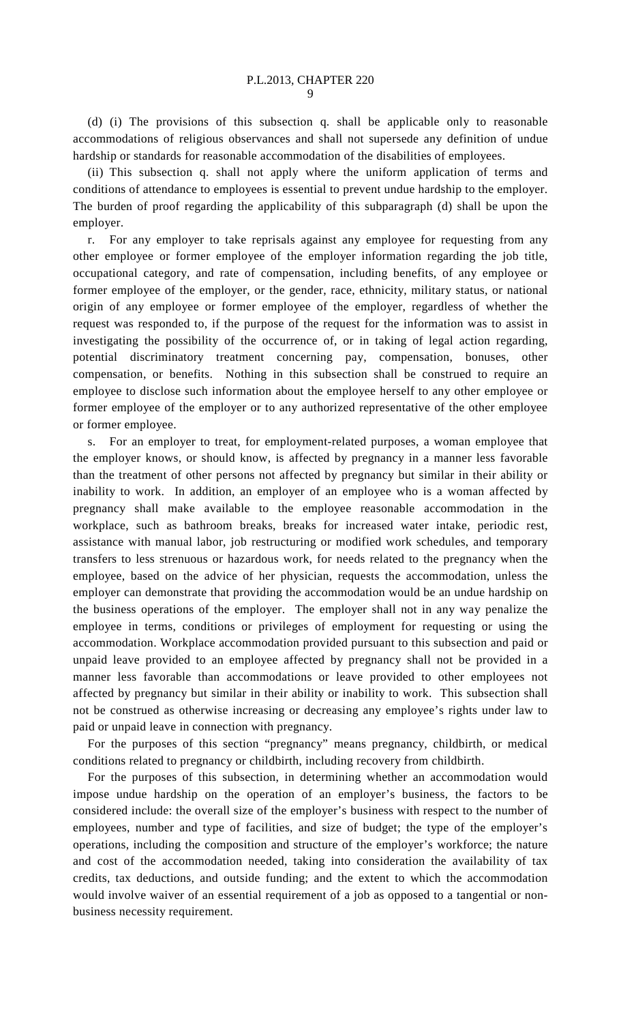(d) (i) The provisions of this subsection q. shall be applicable only to reasonable accommodations of religious observances and shall not supersede any definition of undue hardship or standards for reasonable accommodation of the disabilities of employees.

 (ii) This subsection q. shall not apply where the uniform application of terms and conditions of attendance to employees is essential to prevent undue hardship to the employer. The burden of proof regarding the applicability of this subparagraph (d) shall be upon the employer.

 r. For any employer to take reprisals against any employee for requesting from any other employee or former employee of the employer information regarding the job title, occupational category, and rate of compensation, including benefits, of any employee or former employee of the employer, or the gender, race, ethnicity, military status, or national origin of any employee or former employee of the employer, regardless of whether the request was responded to, if the purpose of the request for the information was to assist in investigating the possibility of the occurrence of, or in taking of legal action regarding, potential discriminatory treatment concerning pay, compensation, bonuses, other compensation, or benefits. Nothing in this subsection shall be construed to require an employee to disclose such information about the employee herself to any other employee or former employee of the employer or to any authorized representative of the other employee or former employee.

 s. For an employer to treat, for employment-related purposes, a woman employee that the employer knows, or should know, is affected by pregnancy in a manner less favorable than the treatment of other persons not affected by pregnancy but similar in their ability or inability to work. In addition, an employer of an employee who is a woman affected by pregnancy shall make available to the employee reasonable accommodation in the workplace, such as bathroom breaks, breaks for increased water intake, periodic rest, assistance with manual labor, job restructuring or modified work schedules, and temporary transfers to less strenuous or hazardous work, for needs related to the pregnancy when the employee, based on the advice of her physician, requests the accommodation, unless the employer can demonstrate that providing the accommodation would be an undue hardship on the business operations of the employer. The employer shall not in any way penalize the employee in terms, conditions or privileges of employment for requesting or using the accommodation. Workplace accommodation provided pursuant to this subsection and paid or unpaid leave provided to an employee affected by pregnancy shall not be provided in a manner less favorable than accommodations or leave provided to other employees not affected by pregnancy but similar in their ability or inability to work. This subsection shall not be construed as otherwise increasing or decreasing any employee's rights under law to paid or unpaid leave in connection with pregnancy.

 For the purposes of this section "pregnancy" means pregnancy, childbirth, or medical conditions related to pregnancy or childbirth, including recovery from childbirth.

 For the purposes of this subsection, in determining whether an accommodation would impose undue hardship on the operation of an employer's business, the factors to be considered include: the overall size of the employer's business with respect to the number of employees, number and type of facilities, and size of budget; the type of the employer's operations, including the composition and structure of the employer's workforce; the nature and cost of the accommodation needed, taking into consideration the availability of tax credits, tax deductions, and outside funding; and the extent to which the accommodation would involve waiver of an essential requirement of a job as opposed to a tangential or nonbusiness necessity requirement.